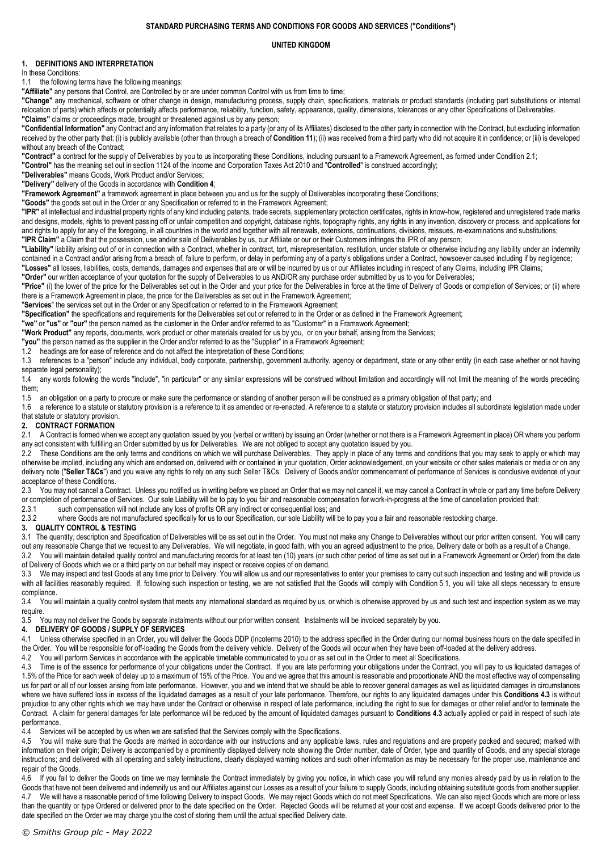### **STANDARD PURCHASING TERMS AND CONDITIONS FOR GOODS AND SERVICES ("Conditions")**

#### **UNITED KINGDOM**

## **1. DEFINITIONS AND INTERPRETATION**

In these Conditions:

1.1 the following terms have the following meanings:

**"Affiliate"** any persons that Control, are Controlled by or are under common Control with us from time to time;

**"Change"** any mechanical, software or other change in design, manufacturing process, supply chain, specifications, materials or product standards (including part substitutions or internal relocation of parts) which affects or potentially affects performance, reliability, function, safety, appearance, quality, dimensions, tolerances or any other Specifications of Deliverables. **"Claims"** claims or proceedings made, brought or threatened against us by any person;

**"Confidential Information"** any Contract and any information that relates to a party (or any of its Affiliates) disclosed to the other party in connection with the Contract, but excluding information received by the other party that: (i) is publicly available (other than through a breach of **Conditio[n 11](#page-2-0)**); (ii) was received from a third party who did not acquire it in confidence; or (iii) is developed without any breach of the Contract;

**"Contract"** a contract for the supply of Deliverables by you to us incorporating these Conditions, including pursuant to a Framework Agreement, as formed under Conditio[n 2.1;](#page-0-0)

**"Control"** has the meaning set out in section 1124 of the Income and Corporation Taxes Act 2010 and "**Controlled**" is construed accordingly;

**"Deliverables"** means Goods, Work Product and/or Services;

**"Delivery"** delivery of the Goods in accordance with **Condition [4](#page-0-1)**;

**"Framework Agreement"** a framework agreement in place between you and us for the supply of Deliverables incorporating these Conditions;

**"Goods"** the goods set out in the Order or any Specification or referred to in the Framework Agreement;

**"IPR"** all intellectual and industrial property rights of any kind including patents, trade secrets, supplementary protection certificates, rights in know-how, registered and unregistered trade marks and designs, models, rights to prevent passing off or unfair competition and copyright, database rights, topography rights, any rights in any invention, discovery or process, and applications for and rights to apply for any of the foregoing, in all countries in the world and together with all renewals, extensions, continuations, divisions, reissues, re-examinations and substitutions;

**"IPR Claim"** a Claim that the possession, use and/or sale of Deliverables by us, our Affiliate or our or their Customers infringes the IPR of any person;

**"Liability"** liability arising out of or in connection with a Contract, whether in contract, tort, misrepresentation, restitution, under statute or otherwise including any liability under an indemnity contained in a Contract and/or arising from a breach of, failure to perform, or delay in performing any of a party's obligations under a Contract, howsoever caused including if by negligence; **"Losses"** all losses, liabilities, costs, demands, damages and expenses that are or will be incurred by us or our Affiliates including in respect of any Claims, including IPR Claims;

**"Order"** our written acceptance of your quotation for the supply of Deliverables to us AND/OR any purchase order submitted by us to you for Deliverables;

**"Price"** (i) the lower of the price for the Deliverables set out in the Order and your price for the Deliverables in force at the time of Delivery of Goods or completion of Services; or (ii) where there is a Framework Agreement in place, the price for the Deliverables as set out in the Framework Agreement;

"**Services**" the services set out in the Order or any Specification or referred to in the Framework Agreement;

**"Specification"** the specifications and requirements for the Deliverables set out or referred to in the Order or as defined in the Framework Agreement;

**"we"** or **"us"** or **"our"** the person named as the customer in the Order and/or referred to as "Customer" in a Framework Agreement;

**"Work Product"** any reports, documents, work product or other materials created for us by you, or on your behalf, arising from the Services;

**"you"** the person named as the supplier in the Order and/or referred to as the "Supplier" in a Framework Agreement;

1.2 headings are for ease of reference and do not affect the interpretation of these Conditions;

1.3 references to a "person" include any individual, body corporate, partnership, government authority, agency or department, state or any other entity (in each case whether or not having separate legal personality);

1.4 any words following the words "include", "in particular" or any similar expressions will be construed without limitation and accordingly will not limit the meaning of the words preceding them;

1.5 an obligation on a party to procure or make sure the performance or standing of another person will be construed as a primary obligation of that party; and

1.6 a reference to a statute or statutory provision is a reference to it as amended or re-enacted. A reference to a statute or statutory provision includes all subordinate legislation made under that statute or statutory provision.

### **2. CONTRACT FORMATION**

<span id="page-0-0"></span>2.1 A Contract is formed when we accept any quotation issued by you (verbal or written) by issuing an Order (whether or not there is a Framework Agreement in place) OR where you perform any act consistent with fulfilling an Order submitted by us for Deliverables. We are not obliged to accept any quotation issued by you.

2.2 These Conditions are the only terms and conditions on which we will purchase Deliverables. They apply in place of any terms and conditions that you may seek to apply or which may otherwise be implied, including any which are endorsed on, delivered with or contained in your quotation, Order acknowledgement, on your website or other sales materials or media or on any delivery note ("Seller T&Cs") and you waive any rights to rely on any such Seller T&Cs. Delivery of Goods and/or commencement of performance of Services is conclusive evidence of your acceptance of these Conditions.

2.3 You may not cancel a Contract. Unless you notified us in writing before we placed an Order that we may not cancel it, we may cancel a Contract in whole or part any time before Delivery or completion of performance of Services. Our sole Liability will be to pay to you fair and reasonable compensation for work-in-progress at the time of cancellation provided that:

2.3.1 such compensation will not include any loss of profits OR any indirect or consequential loss; and

2.3.2 where Goods are not manufactured specifically for us to our Specification, our sole Liability will be to pay you a fair and reasonable restocking charge.

#### **3. QUALITY CONTROL & TESTING**

3.1 The quantity, description and Specification of Deliverables will be as set out in the Order. You must not make any Change to Deliverables without our prior written consent. You will carry out any reasonable Change that we request to any Deliverables. We will negotiate, in good faith, with you an agreed adjustment to the price, Delivery date or both as a result of a Change.

3.2 You will maintain detailed quality control and manufacturing records for at least ten (10) years (or such other period of time as set out in a Framework Agreement or Order) from the date of Delivery of Goods which we or a third party on our behalf may inspect or receive copies of on demand.

3.3 We may inspect and test Goods at any time prior to Delivery. You will allow us and our representatives to enter your premises to carry out such inspection and testing and will provide us with all facilities reasonably required. If, following such inspection or testing, we are not satisfied that the Goods will comply with Condition [5.1,](#page-1-0) you will take all steps necessary to ensure compliance.

3.4 You will maintain a quality control system that meets any international standard as required by us, or which is otherwise approved by us and such test and inspection system as we may require.

3.5 You may not deliver the Goods by separate instalments without our prior written consent. Instalments will be invoiced separately by you.

## <span id="page-0-1"></span>**4. DELIVERY OF GOODS / SUPPLY OF SERVICES**

4.1 Unless otherwise specified in an Order, you will deliver the Goods DDP (Incoterms 2010) to the address specified in the Order during our normal business hours on the date specified in the Order. You will be responsible for off-loading the Goods from the delivery vehicle. Delivery of the Goods will occur when they have been off-loaded at the delivery address.

4.2 You will perform Services in accordance with the applicable timetable communicated to you or as set out in the Order to meet all Specifications.

<span id="page-0-2"></span>4.3 Time is of the essence for performance of your obligations under the Contract. If you are late performing your obligations under the Contract, you will pay to us liquidated damages of 1.5% of the Price for each week of delay up to a maximum of 15% of the Price. You and we agree that this amount is reasonable and proportionate AND the most effective way of compensating us for part or all of our losses arising from late performance. However, you and we intend that we should be able to recover general damages as well as liquidated damages in circumstances where we have suffered loss in excess of the liquidated damages as a result of your late performance. Therefore, our rights to any liquidated damages under this **Conditions [4.3](#page-0-2)** is without prejudice to any other rights which we may have under the Contract or otherwise in respect of late performance, including the right to sue for damages or other relief and/or to terminate the Contract. A claim for general damages for late performance will be reduced by the amount of liquidated damages pursuant to **Condition[s 4.3](#page-0-2)** actually applied or paid in respect of such late performance.

4.4 Services will be accepted by us when we are satisfied that the Services comply with the Specifications.

4.5 You will make sure that the Goods are marked in accordance with our instructions and any applicable laws, rules and regulations and are properly packed and secured; marked with information on their origin; Delivery is accompanied by a prominently displayed delivery note showing the Order number, date of Order, type and quantity of Goods, and any special storage instructions; and delivered with all operating and safety instructions, clearly displayed warning notices and such other information as may be necessary for the proper use, maintenance and repair of the Goods.

4.6 If you fail to deliver the Goods on time we may terminate the Contract immediately by giving you notice, in which case you will refund any monies already paid by us in relation to the Goods that have not been delivered and indemnify us and our Affiliates against our Losses as a result of your failure to supply Goods, including obtaining substitute goods from another supplier. 4.7 We will have a reasonable period of time following Delivery to inspect Goods. We may reject Goods which do not meet Specifications. We can also reject Goods which are more or less than the quantity or type Ordered or delivered prior to the date specified on the Order. Rejected Goods will be returned at your cost and expense. If we accept Goods delivered prior to the date specified on the Order we may charge you the cost of storing them until the actual specified Delivery date.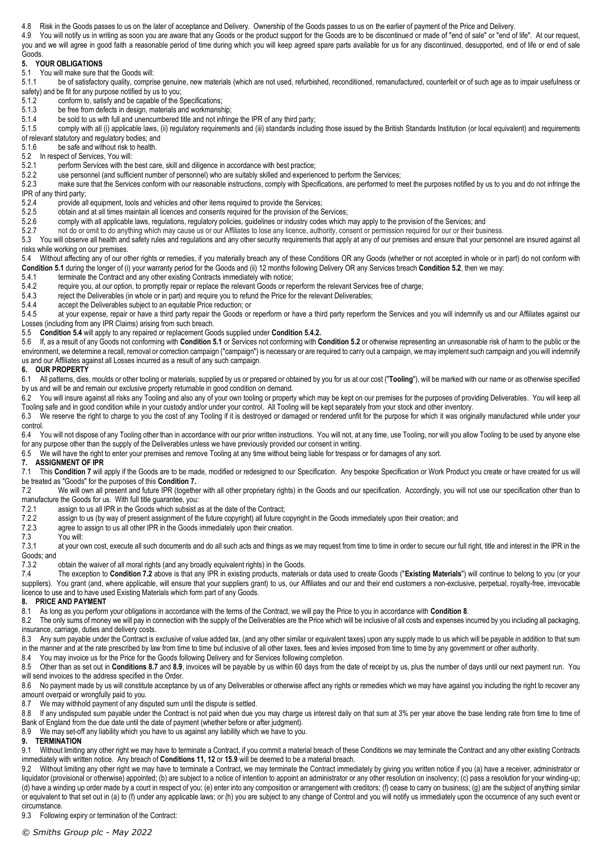4.8 Risk in the Goods passes to us on the later of acceptance and Delivery. Ownership of the Goods passes to us on the earlier of payment of the Price and Delivery.

4.9 You will notify us in writing as soon you are aware that any Goods or the product support for the Goods are to be discontinued or made of "end of sale" or "end of life". At our request, you and we will agree in good faith a reasonable period of time during which you will keep agreed spare parts available for us for any discontinued, desupported, end of life or end of sale Goods.

## **5. YOUR OBLIGATIONS**

<span id="page-1-0"></span>5.1 You will make sure that the Goods will:<br>5.1.1 be of satisfactory quality, compri-

be of satisfactory quality, comprise genuine, new materials (which are not used, refurbished, reconditioned, remanufactured, counterfeit or of such age as to impair usefulness or safety) and be fit for any purpose notified by us to you;

- 5.1.2 conform to, satisfy and be capable of the Specifications;
- 5.1.3 be free from defects in design, materials and workmanship;
- 5.1.4 be sold to us with full and unencumbered title and not infringe the IPR of any third party;<br>5.1.5 comply with all (i) applicable laws, (ii) requlatory requirements and (iii) standards including

comply with all (i) applicable laws, (ii) regulatory requirements and (iii) standards including those issued by the British Standards Institution (or local equivalent) and requirements of relevant statutory and regulatory bodies; and

5.1.6 be safe and without risk to health.

<span id="page-1-1"></span>5.2 In respect of Services, You will:<br>5.2.1 oerform Services with the

perform Services with the best care, skill and diligence in accordance with best practice;

5.2.2 use personnel (and sufficient number of personnel) who are suitably skilled and experienced to perform the Services;<br>5.2.3 make sure that the Services conform with our reasonable instructions, comply with Specificati

make sure that the Services conform with our reasonable instructions, comply with Specifications, are performed to meet the purposes notified by us to you and do not infringe the IPR of any third party;<br>5.2.4 provide a

provide all equipment, tools and vehicles and other items required to provide the Services;

- 5.2.5 obtain and at all times maintain all licences and consents required for the provision of the Services;
- 5.2.6 comply with all applicable laws, regulations, regulatory policies, guidelines or industry codes which may apply to the provision of the Services; and<br>5.2.7 on the or omit to do anything which may cause us or our Affi
- not do or omit to do anything which may cause us or our Affiliates to lose any licence, authority, consent or permission required for our or their business.

5.3 You will observe all health and safety rules and regulations and any other security requirements that apply at any of our premises and ensure that your personnel are insured against all risks while working on our premises.

<span id="page-1-2"></span>5.4 Without affecting any of our other rights or remedies, if you materially breach any of these Conditions OR any Goods (whether or not accepted in whole or in part) do not conform with **Conditio[n 5.1](#page-1-0)** during the longer of (i) your warranty period for the Goods and (ii) 12 months following Delivery OR any Services breach **Conditio[n 5.2](#page-1-1)**, then we may:

5.4.1 terminate the Contract and any other existing Contracts immediately with notice;<br>5.4.2 require you, at our option, to promptly repair or replace the relevant Goods or rep

<span id="page-1-3"></span>5.4.2 require you, at our option, to promptly repair or replace the relevant Goods or reperform the relevant Services free of charge;<br>5.4.3 reject the Deliverables (in whole or in part) and require you to refund the Price

reject the Deliverables (in whole or in part) and require you to refund the Price for the relevant Deliverables;

5.4.4 accept the Deliverables subject to an equitable Price reduction; or 5.4.5 at your expense repair or have a third party repair the Goods or

at your expense, repair or have a third party repair the Goods or reperform or have a third party reperform the Services and you will indemnify us and our Affiliates against our Losses (including from any IPR Claims) arising from such breach.

5.5 **Conditio[n 5.4](#page-1-2)** will apply to any repaired or replacement Goods supplied under **Conditio[n 5.4.2.](#page-1-3)**

5.6 If, as a result of any Goods not conforming with **Conditio[n 5.1](#page-1-0)** or Services not conforming with **Conditio[n 5.2](#page-1-1)** or otherwise representing an unreasonable risk of harm to the public or the environment, we determine a recall, removal or correction campaign ("campaign") is necessary or are required to carry out a campaign, we may implement such campaign and you will indemnify us and our Affiliates against all Losses incurred as a result of any such campaign.

#### **6. OUR PROPERTY**

6.1 All patterns, dies, moulds or other tooling or materials, supplied by us or prepared or obtained by you for us at our cost ("**Tooling**"), will be marked with our name or as otherwise specified by us and will be and remain our exclusive property returnable in good condition on demand.

6.2 You will insure against all risks any Tooling and also any of your own tooling or property which may be kept on our premises for the purposes of providing Deliverables. You will keep all Tooling safe and in good condition while in your custody and/or under your control. All Tooling will be kept separately from your stock and other inventory.

6.3 We reserve the right to charge to you the cost of any Tooling if it is destroyed or damaged or rendered unfit for the purpose for which it was originally manufactured while under your control.

6.4 You will not dispose of any Tooling other than in accordance with our prior written instructions. You will not, at any time, use Tooling, nor will you allow Tooling to be used by anyone else for any purpose other than the supply of the Deliverables unless we have previously provided our consent in writing.

6.5 We will have the right to enter your premises and remove Tooling at any time without being liable for trespass or for damages of any sort.

#### <span id="page-1-4"></span>**7. ASSIGNMENT OF IPR**

7.1 This Conditio[n 7](#page-1-4) will apply if the Goods are to be made, modified or redesigned to our Specification. Any bespoke Specification or Work Product you create or have created for us will be treated as "Goods" for the purposes of this **Conditio[n 7.](#page-1-4)**

<span id="page-1-5"></span>7.2 We will own all present and future IPR (together with all other proprietary rights) in the Goods and our specification. Accordingly, you will not use our specification other than to manufacture the Goods for us. With full title guarantee, you:

- 7.2.1 assign to us all IPR in the Goods which subsist as at the date of the Contract;
- 7.2.2 assign to us (by way of present assignment of the future copyright) all future copyright in the Goods immediately upon their creation; and 7.2.3 agree to assign to us all other IPR in the Goods immediately upon their
- 7.2.3 agree to assign to us all other IPR in the Goods immediately upon their creation.<br>7.3 You will:
- You will:

7.3.1 at your own cost, execute all such documents and do all such acts and things as we may request from time to time in order to secure our full right, title and interest in the IPR in the Goods; and

7.3.2 obtain the waiver of all moral rights (and any broadly equivalent rights) in the Goods.

7.4 The exception to **Condition [7.2](#page-1-5)** above is that any IPR in existing products, materials or data used to create Goods ("**Existing Materials**") will continue to belong to you (or your suppliers). You grant (and, where applicable, will ensure that your suppliers grant) to us, our Affiliates and our and their end customers a non-exclusive, perpetual, royalty-free, irrevocable licence to use and to have used Existing Materials which form part of any Goods.

### <span id="page-1-6"></span>**8. PRICE AND PAYMENT**

8.1 As long as you perform your obligations in accordance with the terms of the Contract, we will pay the Price to you in accordance with **Conditio[n 8](#page-1-6)**.

8.2 The only sums of money we will pay in connection with the supply of the Deliverables are the Price which will be inclusive of all costs and expenses incurred by you including all packaging, insurance, carriage, duties and delivery costs.

8.3 Any sum payable under the Contract is exclusive of value added tax, (and any other similar or equivalent taxes) upon any supply made to us which will be payable in addition to that sum in the manner and at the rate prescribed by law from time to time but inclusive of all other taxes, fees and levies imposed from time to time by any government or other authority.

8.4 You may invoice us for the Price for the Goods following Delivery and for Services following completion.

8.5 Other than as set out in **Condition[s 8.7](#page-1-7)** and **[8.9](#page-1-8)**, invoices will be payable by us within 60 days from the date of receipt by us, plus the number of days until our next payment run. You will send invoices to the address specified in the Order.

8.6 No payment made by us will constitute acceptance by us of any Deliverables or otherwise affect any rights or remedies which we may have against you including the right to recover any amount overpaid or wrongfully paid to you.<br>8.7 We may withhold payment of any dis

<span id="page-1-7"></span>We may withhold payment of any disputed sum until the dispute is settled.

8.8 If any undisputed sum payable under the Contract is not paid when due you may charge us interest daily on that sum at 3% per year above the base lending rate from time to time of Bank of England from the due date until the date of payment (whether before or after judgment).

<span id="page-1-8"></span>8.9 We may set-off any liability which you have to us against any liability which we have to you.

**9. TERMINATION**

9.1 Without limiting any other right we may have to terminate a Contract, if you commit a material breach of these Conditions we may terminate the Contract and any other existing Contracts immediately with written notice. Any breach of **Conditions 11, 12** or **[15.9](#page-2-1)** will be deemed to be a material breach.

9.2 Without limiting any other right we may have to terminate a Contract, we may terminate the Contract immediately by giving you written notice if you (a) have a receiver, administrator or liquidator (provisional or otherwise) appointed; (b) are subject to a notice of intention to appoint an administrator or any other resolution on insolvency; (c) pass a resolution for your winding-up; (d) have a winding up order made by a court in respect of you; (e) enter into any composition or arrangement with creditors; (f) cease to carry on business; (g) are the subject of anything similar or equivalent to that set out in (a) to (f) under any applicable laws; or (h) you are subject to any change of Control and you will notify us immediately upon the occurrence of any such event or circumstance.

9.3 Following expiry or termination of the Contract: